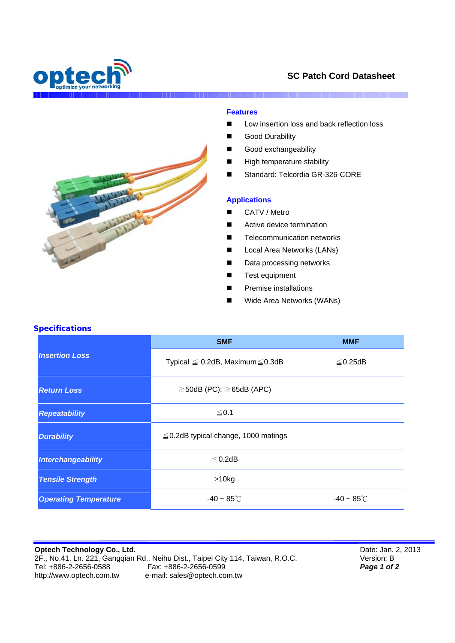

# **SC Patch Cord Datasheet**

I

### **Features**

- Low insertion loss and back reflection loss
- Good Durability
- Good exchangeability
- **High temperature stability**
- Standard: Telcordia GR-326-CORE

#### **Applications**

- CATV / Metro
- Active device termination
- **Telecommunication networks**
- **Local Area Networks (LANs)**
- Data processing networks
- **Test equipment**
- Premise installations
- Wide Area Networks (WANs)

## **Specifications**

|                              | <b>SMF</b>                                 | <b>MMF</b>           |
|------------------------------|--------------------------------------------|----------------------|
| <b>Insertion Loss</b>        | Typical $\leq$ 0.2dB, Maximum $\leq$ 0.3dB | $\leq$ 0.25dB        |
| <b>Return Loss</b>           | $\geq$ 50dB (PC); $\geq$ 65dB (APC)        |                      |
| <b>Repeatability</b>         | ≤ 0.1                                      |                      |
| <b>Durability</b>            | $\leq$ 0.2dB typical change, 1000 matings  |                      |
| Interchangeability           | $\leq$ 0.2dB                               |                      |
| <b>Tensile Strength</b>      | $>10$ kg                                   |                      |
| <b>Operating Temperature</b> | $-40 \sim 85^{\circ}$ C                    | $-40 - 85^{\circ}$ C |

**Optech Technology Co., Ltd.**  2F., No.41, Ln. 221, Gangqian Rd., Neihu Dist., Taipei City 114, Taiwan, R.O.C.<br>Tel: +886-2-2656-0588 Fax: +886-2-2656-0599<br>http://www.optech.com.tw e-mail: sales@optech.com.tw e-mail: sales@optech.com.tw

Date: Jan. 2, 2013 Version: B *Page 1 of 2*